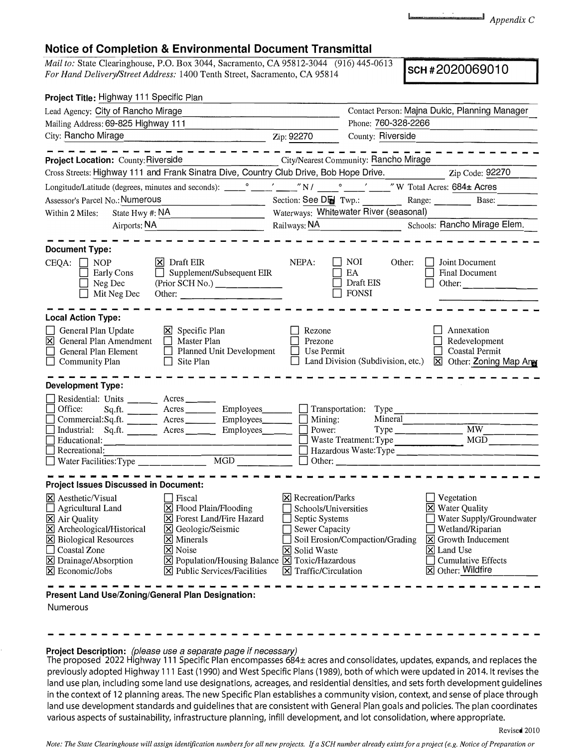*Appendix* C

## **Notice of Completion & Environmental Document Transmittal**

*Mail to:* State Clearinghouse, P.O. Box 3044, Sacramento, CA 95812-3044 (916) 445-0613 *For Hand Delivery/Street Address:* 1400 Tenth Street, Sacramento, CA 95814 **SCH #2020069010** 

| Project Title: Highway 111 Specific Plan                                                                                                                                                                                                                                               |                                                                                                                                                                                                                                                                           |                                                                                                                                                                     |                                                         |                                                                                                                                                                                                                          |  |
|----------------------------------------------------------------------------------------------------------------------------------------------------------------------------------------------------------------------------------------------------------------------------------------|---------------------------------------------------------------------------------------------------------------------------------------------------------------------------------------------------------------------------------------------------------------------------|---------------------------------------------------------------------------------------------------------------------------------------------------------------------|---------------------------------------------------------|--------------------------------------------------------------------------------------------------------------------------------------------------------------------------------------------------------------------------|--|
| Lead Agency: City of Rancho Mirage                                                                                                                                                                                                                                                     |                                                                                                                                                                                                                                                                           |                                                                                                                                                                     | Contact Person: Majna Dukic, Planning Manager           |                                                                                                                                                                                                                          |  |
| Mailing Address: 69-825 Highway 111                                                                                                                                                                                                                                                    | Phone: 760-328-2266                                                                                                                                                                                                                                                       |                                                                                                                                                                     |                                                         |                                                                                                                                                                                                                          |  |
| City: Rancho Mirage<br>Zip: 92270                                                                                                                                                                                                                                                      |                                                                                                                                                                                                                                                                           |                                                                                                                                                                     | County: Riverside                                       |                                                                                                                                                                                                                          |  |
|                                                                                                                                                                                                                                                                                        |                                                                                                                                                                                                                                                                           |                                                                                                                                                                     |                                                         |                                                                                                                                                                                                                          |  |
| Project Location: County: Riverside                                                                                                                                                                                                                                                    | City/Nearest Community: Rancho Mirage                                                                                                                                                                                                                                     |                                                                                                                                                                     |                                                         |                                                                                                                                                                                                                          |  |
|                                                                                                                                                                                                                                                                                        | Cross Streets: Highway 111 and Frank Sinatra Dive, Country Club Drive, Bob Hope Drive.                                                                                                                                                                                    |                                                                                                                                                                     |                                                         | Zip Code: 92270                                                                                                                                                                                                          |  |
|                                                                                                                                                                                                                                                                                        |                                                                                                                                                                                                                                                                           |                                                                                                                                                                     |                                                         |                                                                                                                                                                                                                          |  |
| Assessor's Parcel No.: Numerous                                                                                                                                                                                                                                                        |                                                                                                                                                                                                                                                                           |                                                                                                                                                                     |                                                         | Section: See Did Twp.: Range: Base: Base:                                                                                                                                                                                |  |
| State Hwy #: NA<br>Within 2 Miles:                                                                                                                                                                                                                                                     |                                                                                                                                                                                                                                                                           | Waterways: Whitewater River (seasonal)                                                                                                                              |                                                         |                                                                                                                                                                                                                          |  |
| Airports: NA<br><u> 1980 - Johann Barbara, martin a</u>                                                                                                                                                                                                                                |                                                                                                                                                                                                                                                                           | Railways: NA Schools: Rancho Mirage Elem.                                                                                                                           |                                                         |                                                                                                                                                                                                                          |  |
|                                                                                                                                                                                                                                                                                        |                                                                                                                                                                                                                                                                           |                                                                                                                                                                     |                                                         |                                                                                                                                                                                                                          |  |
| <b>Document Type:</b>                                                                                                                                                                                                                                                                  |                                                                                                                                                                                                                                                                           |                                                                                                                                                                     |                                                         |                                                                                                                                                                                                                          |  |
| CEQA:<br>$\Box$ NOP<br>Early Cons<br>Neg Dec<br>Mit Neg Dec                                                                                                                                                                                                                            | $\vert$ X Draft EIR<br>$\Box$ Supplement/Subsequent EIR<br>Other:                                                                                                                                                                                                         | NEPA:                                                                                                                                                               | <b>NOI</b><br>Other:<br>EA<br>Draft EIS<br><b>FONSI</b> | Joint Document<br>Final Document<br>Other:                                                                                                                                                                               |  |
| <b>Local Action Type:</b><br>General Plan Update<br>図<br>General Plan Amendment<br>General Plan Element<br>$\Box$ Community Plan                                                                                                                                                       | $\boxtimes$ Specific Plan<br>Master Plan<br>Planned Unit Development<br>$\Box$<br>Site Plan                                                                                                                                                                               | Rezone<br>Prezone<br>Use Permit                                                                                                                                     | Land Division (Subdivision, etc.)                       | Annexation<br>Redevelopment<br><b>Coastal Permit</b><br>$\boxtimes$ Other: Zoning Map Are                                                                                                                                |  |
| <b>Development Type:</b>                                                                                                                                                                                                                                                               |                                                                                                                                                                                                                                                                           |                                                                                                                                                                     |                                                         |                                                                                                                                                                                                                          |  |
| Residential: Units ________ Acres ______<br>Office:<br>Recreational:                                                                                                                                                                                                                   | Sq.ft. __________ Acres __________ Employees________<br>Commercial:Sq.ft. _________ Acres __________ Employees________<br>Industrial: Sq.ft. Acres Employees<br>Educational: $\qquad \qquad \qquad$                                                                       | $\Box$ Mining:<br>Power:<br>⊔                                                                                                                                       | $\Box$ Transportation: Type                             | Mineral<br>Hazardous Waste:Type <sup>1</sup>                                                                                                                                                                             |  |
| <b>Project Issues Discussed in Document:</b>                                                                                                                                                                                                                                           |                                                                                                                                                                                                                                                                           |                                                                                                                                                                     |                                                         |                                                                                                                                                                                                                          |  |
| $\boxtimes$ Aesthetic/Visual<br><b>Agricultural Land</b><br>X Air Quality<br>Archeological/Historical<br>⊠<br>$\boxtimes$ Biological Resources<br>Coastal Zone<br>$\boxtimes$ Drainage/Absorption<br>$\overline{X}$ Economic/Jobs<br>Present Land Use/Zoning/General Plan Designation: | $\Box$ Fiscal<br>$\boxtimes$ Flood Plain/Flooding<br><b>X</b> Forest Land/Fire Hazard<br>S Geologic/Seismic<br>$ \mathsf{X} $ Minerals<br>X Noise<br>$\boxtimes$ Population/Housing Balance $\boxtimes$ Toxic/Hazardous<br>$ \mathbf{\nabla} $ Public Services/Facilities | $\boxtimes$ Recreation/Parks<br>Schools/Universities<br>Septic Systems<br><b>Sewer Capacity</b><br><b>X</b> Solid Waste<br>$\boxed{\mathsf{X}}$ Traffic/Circulation | Soil Erosion/Compaction/Grading                         | Vegetation<br><b>X</b> Water Quality<br>Water Supply/Groundwater<br>Wetland/Riparian<br>$\boxed{\mathsf{X}}$ Growth Inducement<br>$\boxed{\mathsf{X}}$ Land Use<br><b>Cumulative Effects</b><br><b>区 Other: Wildfire</b> |  |
| <b>Numerous</b>                                                                                                                                                                                                                                                                        |                                                                                                                                                                                                                                                                           |                                                                                                                                                                     |                                                         |                                                                                                                                                                                                                          |  |

## **Project Description:** *{please use a separate page if necessary)*

The proposed 2022 Highway 111 Specific Plan encompasses 684± acres and consolidates, updates, expands, and replaces the previously adopted Highway 111 East (1990) and West Specific Plans (1989), both of which were updated in 2014. It revises the land use plan, including some land use designations, acreages, and residential densities, and sets forth development guidelines in the context of 12 planning areas. The new Specific Plan establishes a community vision, context, and sense of place through land use development standards and guidelines that are consistent with General Plan goals and policies. The plan coordinates various aspects of sustainability, infrastructure planning, infill development, and lot consolidation, where appropriate.

----------------------------------------------

*Note: The State Clearinghouse will assign identification numbers for all new projects, ff a SCH number already exists for a project ( e.g. Notice of Preparation or*